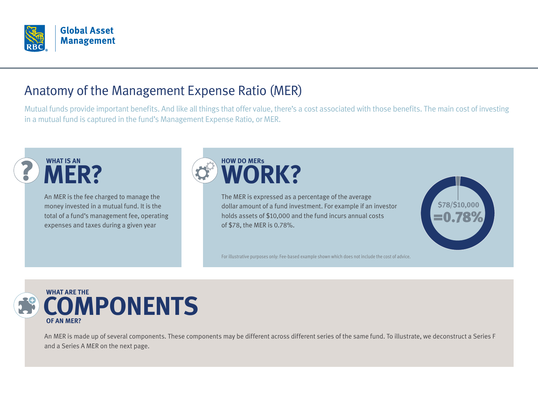

## Anatomy of the Management Expense Ratio (MER)

Mutual funds provide important benefits. And like all things that offer value, there's a cost associated with those benefits. The main cost of investing in a mutual fund is captured in the fund's Management Expense Ratio, or MER.



An MER is the fee charged to manage the money invested in a mutual fund. It is the total of a fund's management fee, operating expenses and taxes during a given year



The MER is expressed as a percentage of the average dollar amount of a fund investment. For example if an investor holds assets of \$10,000 and the fund incurs annual costs of \$78, the MER is 0.78%.



For illustrative purposes only: Fee-based example shown which does not include the cost of advice.



An MER is made up of several components. These components may be different across different series of the same fund. To illustrate, we deconstruct a Series F and a Series A MER on the next page.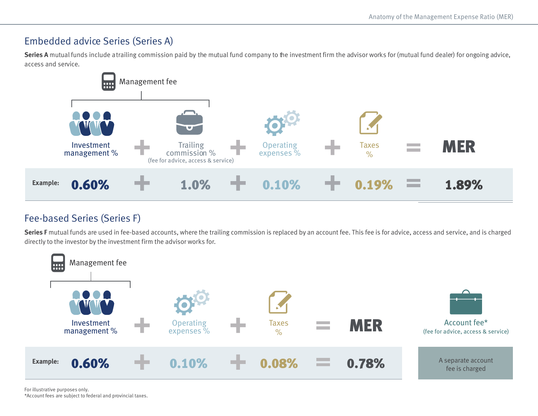#### Embedded advice Series (Series A)

**Series A** mutual funds include atrailing commission paid by the mutual fund company to the investment firm the advisor works for (mutual fund dealer) for ongoing advice, access and service.



### Fee-based Series (Series F)

**Series F** mutual funds are used in fee-based accounts, where the trailing commission is replaced by an account fee. This fee is for advice, access and service, and is charged directly to the investor by the investment firm the advisor works for.

<span id="page-1-1"></span>

<span id="page-1-0"></span>For illustrative purposes only. [\\*](#page-1-1)Account fees are subject to federal and provincial taxes.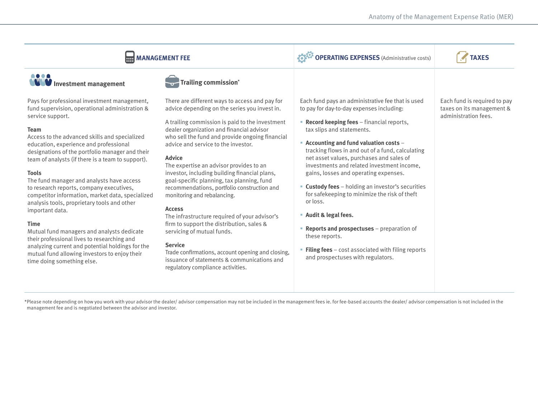<span id="page-2-1"></span>

| <b>HH MANAGEMENT FEE</b>                                                                                                                                                                                                                                                                                                                                                                                                                                                                                                                                                                                                                                                        |                                                                                                                                                                                                                                                                                                                                                                                                                                                                                                                                                                                                                                                                                 | <b>OPERATING EXPENSES</b> (Administrative costs)                                                                                                                                                                                                                                                                                                                                                                                                                                                                                                                                                                                         | <b>TAXES</b>                                                                      |
|---------------------------------------------------------------------------------------------------------------------------------------------------------------------------------------------------------------------------------------------------------------------------------------------------------------------------------------------------------------------------------------------------------------------------------------------------------------------------------------------------------------------------------------------------------------------------------------------------------------------------------------------------------------------------------|---------------------------------------------------------------------------------------------------------------------------------------------------------------------------------------------------------------------------------------------------------------------------------------------------------------------------------------------------------------------------------------------------------------------------------------------------------------------------------------------------------------------------------------------------------------------------------------------------------------------------------------------------------------------------------|------------------------------------------------------------------------------------------------------------------------------------------------------------------------------------------------------------------------------------------------------------------------------------------------------------------------------------------------------------------------------------------------------------------------------------------------------------------------------------------------------------------------------------------------------------------------------------------------------------------------------------------|-----------------------------------------------------------------------------------|
| <b>WWW</b> Investment management                                                                                                                                                                                                                                                                                                                                                                                                                                                                                                                                                                                                                                                | <b>Trailing commission*</b>                                                                                                                                                                                                                                                                                                                                                                                                                                                                                                                                                                                                                                                     |                                                                                                                                                                                                                                                                                                                                                                                                                                                                                                                                                                                                                                          |                                                                                   |
| Pays for professional investment management,<br>fund supervision, operational administration &<br>service support.<br><b>Team</b><br>Access to the advanced skills and specialized<br>education, experience and professional<br>designations of the portfolio manager and their<br>team of analysts (if there is a team to support).<br><b>Tools</b><br>The fund manager and analysts have access<br>to research reports, company executives,<br>competitor information, market data, specialized<br>analysis tools, proprietary tools and other<br>important data.<br><b>Time</b><br>Mutual fund managers and analysts dedicate<br>their professional lives to researching and | There are different ways to access and pay for<br>advice depending on the series you invest in.<br>A trailing commission is paid to the investment<br>dealer organization and financial advisor<br>who sell the fund and provide ongoing financial<br>advice and service to the investor.<br><b>Advice</b><br>The expertise an advisor provides to an<br>investor, including building financial plans,<br>goal-specific planning, tax planning, fund<br>recommendations, portfolio construction and<br>monitoring and rebalancing.<br><b>Access</b><br>The infrastructure required of your advisor's<br>firm to support the distribution, sales &<br>servicing of mutual funds. | Each fund pays an administrative fee that is used<br>to pay for day-to-day expenses including:<br><b>Record keeping fees</b> – financial reports,<br>tax slips and statements.<br>- Accounting and fund valuation costs -<br>tracking flows in and out of a fund, calculating<br>net asset values, purchases and sales of<br>investments and related investment income,<br>gains, losses and operating expenses.<br><b>Custody fees</b> - holding an investor's securities<br>for safekeeping to minimize the risk of theft<br>or loss.<br>• Audit & legal fees.<br><b>Reports and prospectuses</b> $-$ preparation of<br>these reports. | Each fund is required to pay<br>taxes on its management &<br>administration fees. |
| analyzing current and potential holdings for the<br>mutual fund allowing investors to enjoy their<br>time doing something else.                                                                                                                                                                                                                                                                                                                                                                                                                                                                                                                                                 | <b>Service</b><br>Trade confirmations, account opening and closing,<br>issuance of statements & communications and<br>regulatory compliance activities.                                                                                                                                                                                                                                                                                                                                                                                                                                                                                                                         | <b>Filing fees</b> $-$ cost associated with filing reports<br>and prospectuses with regulators.                                                                                                                                                                                                                                                                                                                                                                                                                                                                                                                                          |                                                                                   |

<span id="page-2-0"></span>[\\*](#page-2-1) Please note depending on how you work with your advisor the dealer/ advisor compensation may not be included in the management fees ie. for fee-based accounts the dealer/ advisor compensation is not included in the management fee and is negotiated between the advisor and investor.